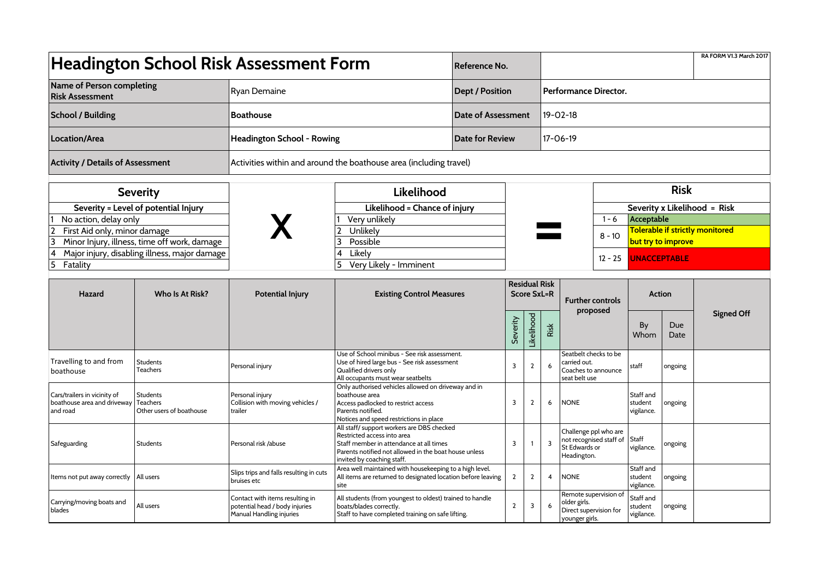| <b>Headington School Risk Assessment Form</b>                                |                                                         |                                                                                               |                                                                                                                                                                                                             |                                            | Reference No.  |                |                              |                                                                                   |                                    |                                               |                              | RA FORM V1.3 March 2017 |
|------------------------------------------------------------------------------|---------------------------------------------------------|-----------------------------------------------------------------------------------------------|-------------------------------------------------------------------------------------------------------------------------------------------------------------------------------------------------------------|--------------------------------------------|----------------|----------------|------------------------------|-----------------------------------------------------------------------------------|------------------------------------|-----------------------------------------------|------------------------------|-------------------------|
| Name of Person completing<br><b>Risk Assessment</b>                          |                                                         | <b>Ryan Demaine</b>                                                                           |                                                                                                                                                                                                             | <b>Dept / Position</b>                     |                |                | <b>Performance Director.</b> |                                                                                   |                                    |                                               |                              |                         |
| <b>School / Building</b>                                                     |                                                         | <b>Boathouse</b>                                                                              |                                                                                                                                                                                                             | Date of Assessment                         |                |                | $19 - 02 - 18$               |                                                                                   |                                    |                                               |                              |                         |
| Location/Area                                                                |                                                         | Headington School - Rowing                                                                    | <b>Date for Review</b>                                                                                                                                                                                      |                                            |                | $17 - 06 - 19$ |                              |                                                                                   |                                    |                                               |                              |                         |
| <b>Activity / Details of Assessment</b>                                      |                                                         | Activities within and around the boathouse area (including travel)                            |                                                                                                                                                                                                             |                                            |                |                |                              |                                                                                   |                                    |                                               |                              |                         |
| <b>Severity</b>                                                              |                                                         |                                                                                               | Likelihood                                                                                                                                                                                                  |                                            |                |                |                              |                                                                                   |                                    | <b>Risk</b>                                   |                              |                         |
| Severity = Level of potential Injury                                         |                                                         |                                                                                               | Likelihood = Chance of injury                                                                                                                                                                               |                                            |                |                |                              |                                                                                   |                                    |                                               | Severity x Likelihood = Risk |                         |
| No action, delay only                                                        |                                                         |                                                                                               | Very unlikely<br>Unlikely                                                                                                                                                                                   |                                            |                |                |                              |                                                                                   | $1 - 6$                            | Acceptable<br>Tolerable if strictly monitored |                              |                         |
| First Aid only, minor damage<br>Minor Injury, illness, time off work, damage |                                                         |                                                                                               | Possible<br>3                                                                                                                                                                                               |                                            |                |                |                              |                                                                                   | $8 - 10$                           | but try to improve                            |                              |                         |
| Fatality                                                                     | Major injury, disabling illness, major damage           |                                                                                               | Likely<br>4<br>Very Likely - Imminent                                                                                                                                                                       |                                            |                |                |                              |                                                                                   | $12 - 25$                          | <b>UNACCEPTABLE</b>                           |                              |                         |
| <b>Hazard</b>                                                                | Who Is At Risk?                                         | <b>Potential Injury</b>                                                                       | <b>Existing Control Measures</b>                                                                                                                                                                            | <b>Residual Risk</b><br><b>Score SxL=R</b> |                |                |                              |                                                                                   | <b>Further controls</b>            | <b>Action</b>                                 |                              |                         |
|                                                                              |                                                         |                                                                                               |                                                                                                                                                                                                             |                                            |                | Likelihood     | Risk                         |                                                                                   | proposed                           | By<br>Whom                                    | Due<br>Date                  | <b>Signed Off</b>       |
| Travelling to and from<br>boathouse                                          | Students<br>Teachers                                    | Personal injury                                                                               | Use of School minibus - See risk assessment.<br>Use of hired large bus - See risk assessment<br>Qualified drivers only<br>All occupants must wear seatbelts                                                 |                                            | 3              | $\overline{2}$ | 6                            | Seatbelt checks to be<br>carried out.<br>Coaches to announce<br>seat belt use     |                                    | staff                                         | ongoing                      |                         |
| Cars/trailers in vicinity of<br>boathouse area and driveway<br>and road      | <b>Students</b><br>Teachers<br>Other users of boathouse | Personal injury<br>Collision with moving vehicles /<br>trailer                                | Only authorised vehicles allowed on driveway and in<br>boathouse area<br>Access padlocked to restrict access<br>Parents notified.<br>Notices and speed restrictions in place                                |                                            | 3              | $\overline{2}$ | 6                            | <b>NONE</b>                                                                       |                                    | Staff and<br>student<br>vigilance.            | ongoing                      |                         |
| Safeguarding                                                                 | Students                                                | Personal risk /abuse                                                                          | All staff/ support workers are DBS checked<br>Restricted access into area<br>Staff member in attendance at all times<br>Parents notified not allowed in the boat house unless<br>invited by coaching staff. |                                            | $\overline{3}$ |                | $\overline{3}$               | Challenge ppl who are<br>not recognised staff of<br>St Edwards or<br>Headington.  |                                    | Staff<br>vigilance.                           | ongoing                      |                         |
| Items not put away correctly                                                 | All users                                               | Slips trips and falls resulting in cuts<br>bruises etc                                        | Area well maintained with housekeeping to a high level.<br>All items are returned to designated location before leaving<br>site                                                                             |                                            | $\overline{2}$ | $\overline{2}$ | 4                            | <b>NONE</b>                                                                       | Staff and<br>student<br>vigilance. |                                               | ongoing                      |                         |
| Carrying/moving boats and<br>blades                                          | All users                                               | Contact with items resulting in<br>potential head / body injuries<br>Manual Handling injuries | All students (from youngest to oldest) trained to handle<br>boats/blades correctly.<br>Staff to have completed training on safe lifting.                                                                    |                                            | $\overline{2}$ | $\overline{3}$ | 6                            | Remote supervision of<br>older girls.<br>Direct supervision for<br>younger girls. |                                    | Staff and<br>student<br>vigilance.            | ongoing                      |                         |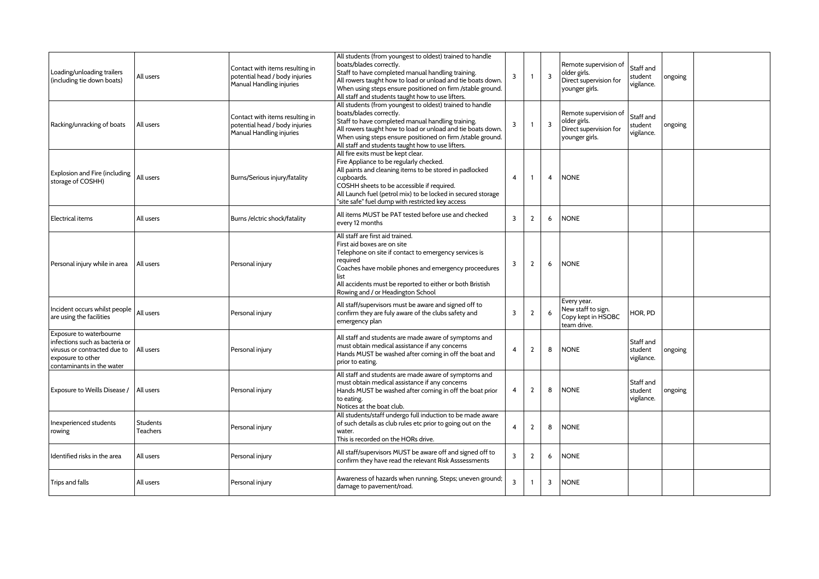| Loading/unloading trailers<br>(including tie down boats)                                                                                    | All users                   | Contact with items resulting in<br>potential head / body injuries<br>Manual Handling injuries | All students (from youngest to oldest) trained to handle<br>boats/blades correctly.<br>Staff to have completed manual handling training.<br>All rowers taught how to load or unload and tie boats down.<br>When using steps ensure positioned on firm /stable ground.<br>All staff and students taught how to use lifters. | $\overline{3}$ | -1             | $\overline{3}$ | Remote supervision of<br>older girls.<br>Direct supervision for<br>younger girls. | Staff and<br>student<br>vigilance. | ongoing |  |
|---------------------------------------------------------------------------------------------------------------------------------------------|-----------------------------|-----------------------------------------------------------------------------------------------|----------------------------------------------------------------------------------------------------------------------------------------------------------------------------------------------------------------------------------------------------------------------------------------------------------------------------|----------------|----------------|----------------|-----------------------------------------------------------------------------------|------------------------------------|---------|--|
| Racking/unracking of boats                                                                                                                  | All users                   | Contact with items resulting in<br>potential head / body injuries<br>Manual Handling injuries | All students (from youngest to oldest) trained to handle<br>boats/blades correctly.<br>Staff to have completed manual handling training.<br>All rowers taught how to load or unload and tie boats down.<br>When using steps ensure positioned on firm /stable ground.<br>All staff and students taught how to use lifters. | $\overline{3}$ |                | $\overline{3}$ | Remote supervision of<br>older girls.<br>Direct supervision for<br>younger girls. | Staff and<br>student<br>vigilance. | ongoing |  |
| Explosion and Fire (including<br>storage of COSHH)                                                                                          | All users                   | Burns/Serious injury/fatality                                                                 | All fire exits must be kept clear.<br>Fire Appliance to be regularly checked.<br>All paints and cleaning items to be stored in padlocked<br>cupboards.<br>COSHH sheets to be accessible if required.<br>All Launch fuel (petrol mix) to be locked in secured storage<br>"site safe" fuel dump with restricted key access   | $\overline{4}$ | -1             | $\overline{4}$ | <b>NONE</b>                                                                       |                                    |         |  |
| l Electrical items                                                                                                                          | All users                   | Burns / elctric shock/fatality                                                                | All items MUST be PAT tested before use and checked<br>every 12 months                                                                                                                                                                                                                                                     | $\overline{3}$ | $\overline{2}$ | 6              | <b>NONE</b>                                                                       |                                    |         |  |
| Personal injury while in area                                                                                                               | All users                   | Personal injury                                                                               | All staff are first aid trained.<br>First aid boxes are on site<br>Telephone on site if contact to emergency services is<br>required<br>Coaches have mobile phones and emergency proceedures<br>list<br>All accidents must be reported to either or both Bristish<br>Rowing and / or Headington School                     | 3              | $\overline{2}$ | 6              | <b>NONE</b>                                                                       |                                    |         |  |
| Incident occurs whilst people<br>are using the facilities                                                                                   | All users                   | Personal injury                                                                               | All staff/supervisors must be aware and signed off to<br>confirm they are fuly aware of the clubs safety and<br>emergency plan                                                                                                                                                                                             | 3              | $\overline{2}$ | 6              | Every year.<br>New staff to sign.<br>Copy kept in HSOBC<br>team drive.            | HOR, PD                            |         |  |
| Exposure to waterbourne<br>infections such as bacteria or<br>virusus or contracted due to<br>exposure to other<br>contaminants in the water | All users                   | Personal injury                                                                               | All staff and students are made aware of symptoms and<br>must obtain medical assistance if any concerns<br>Hands MUST be washed after coming in off the boat and<br>prior to eating.                                                                                                                                       | $\overline{4}$ | $\overline{2}$ | 8              | <b>NONE</b>                                                                       | Staff and<br>student<br>vigilance. | ongoing |  |
| Exposure to Weills Disease /                                                                                                                | All users                   | Personal injury                                                                               | All staff and students are made aware of symptoms and<br>must obtain medical assistance if any concerns<br>Hands MUST be washed after coming in off the boat prior<br>to eating.<br>Notices at the boat club.                                                                                                              | $\overline{4}$ | $\overline{2}$ | 8              | <b>NONE</b>                                                                       | Staff and<br>student<br>vigilance. | ongoing |  |
| Inexperienced students<br>rowing                                                                                                            | Students<br><b>Teachers</b> | Personal injury                                                                               | All students/staff undergo full induction to be made aware<br>of such details as club rules etc prior to going out on the<br>water.<br>This is recorded on the HORs drive.                                                                                                                                                 | $\overline{4}$ | $\overline{2}$ | 8              | <b>NONE</b>                                                                       |                                    |         |  |
| Identified risks in the area                                                                                                                | All users                   | Personal injury                                                                               | All staff/supervisors MUST be aware off and signed off to<br>confirm they have read the relevant Risk Asssessments                                                                                                                                                                                                         | $\overline{3}$ | $\overline{2}$ | 6              | <b>NONE</b>                                                                       |                                    |         |  |
| Trips and falls                                                                                                                             | All users                   | Personal injury                                                                               | Awareness of hazards when running. Steps; uneven ground;<br>damage to pavement/road.                                                                                                                                                                                                                                       | $\overline{3}$ | $\mathbf{1}$   | 3              | <b>NONE</b>                                                                       |                                    |         |  |